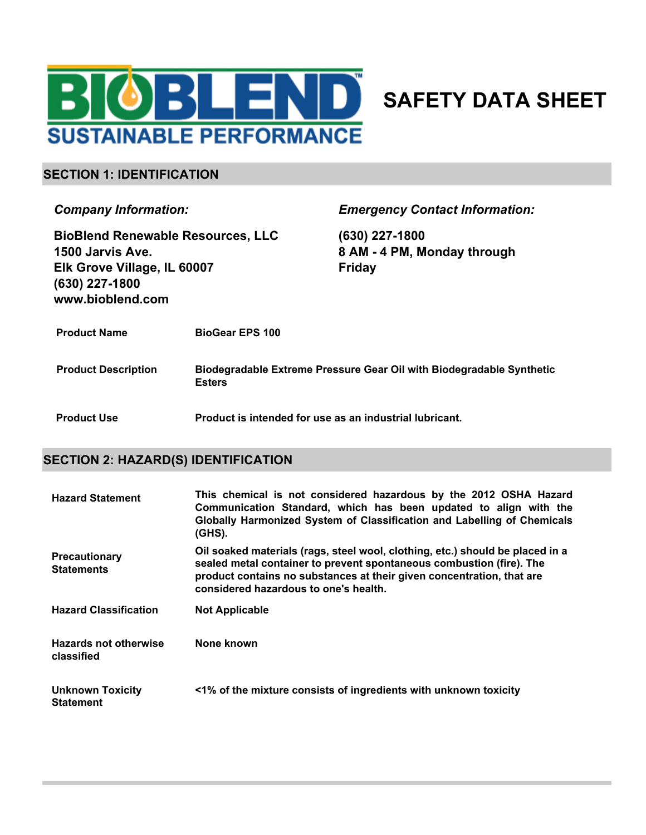

# **SAFETY DATA SHEET**

#### **SECTION 1: IDENTIFICATION**

*Company Information:*

**BioBlend Renewable Resources, LLC 1500 Jarvis Ave. Elk Grove Village, IL 60007 (630) 227-1800 www.bioblend.com**

*Emergency Contact Information:*

**(630) 227-1800 8 AM - 4 PM, Monday through Friday**

| <b>Product Name</b>        | <b>BioGear EPS 100</b>                                                                |
|----------------------------|---------------------------------------------------------------------------------------|
| <b>Product Description</b> | Biodegradable Extreme Pressure Gear Oil with Biodegradable Synthetic<br><b>Esters</b> |
| <b>Product Use</b>         | Product is intended for use as an industrial lubricant.                               |

#### **SECTION 2: HAZARD(S) IDENTIFICATION**

| <b>Hazard Statement</b>                     | This chemical is not considered hazardous by the 2012 OSHA Hazard<br>Communication Standard, which has been updated to align with the<br>Globally Harmonized System of Classification and Labelling of Chemicals<br>$(GHS)$ .                                           |
|---------------------------------------------|-------------------------------------------------------------------------------------------------------------------------------------------------------------------------------------------------------------------------------------------------------------------------|
| Precautionary<br><b>Statements</b>          | Oil soaked materials (rags, steel wool, clothing, etc.) should be placed in a<br>sealed metal container to prevent spontaneous combustion (fire). The<br>product contains no substances at their given concentration, that are<br>considered hazardous to one's health. |
| <b>Hazard Classification</b>                | <b>Not Applicable</b>                                                                                                                                                                                                                                                   |
| Hazards not otherwise<br>classified         | None known                                                                                                                                                                                                                                                              |
| <b>Unknown Toxicity</b><br><b>Statement</b> | <1% of the mixture consists of ingredients with unknown toxicity                                                                                                                                                                                                        |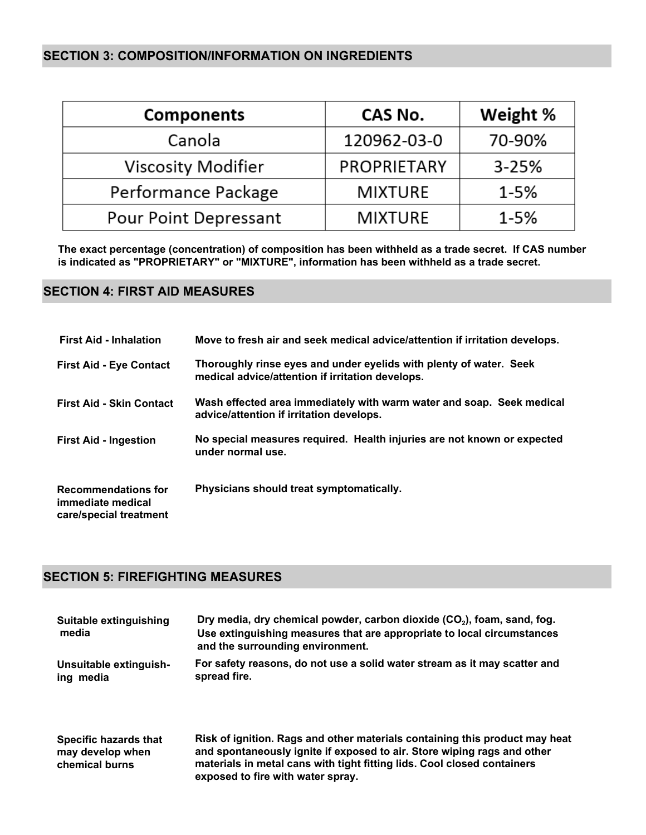#### **SECTION 3: COMPOSITION/INFORMATION ON INGREDIENTS**

| <b>Components</b>         | CAS No.            | Weight %  |
|---------------------------|--------------------|-----------|
| Canola                    | 120962-03-0        | 70-90%    |
| <b>Viscosity Modifier</b> | <b>PROPRIETARY</b> | $3 - 25%$ |
| Performance Package       | <b>MIXTURE</b>     | $1 - 5%$  |
| Pour Point Depressant     | <b>MIXTURE</b>     | $1 - 5%$  |

**The exact percentage (concentration) of composition has been withheld as a trade secret. If CAS number is indicated as "PROPRIETARY" or "MIXTURE", information has been withheld as a trade secret.**

#### **SECTION 4: FIRST AID MEASURES**

| <b>First Aid - Inhalation</b>                                             | Move to fresh air and seek medical advice/attention if irritation develops.                                            |
|---------------------------------------------------------------------------|------------------------------------------------------------------------------------------------------------------------|
| <b>First Aid - Eye Contact</b>                                            | Thoroughly rinse eyes and under eyelids with plenty of water. Seek<br>medical advice/attention if irritation develops. |
| <b>First Aid - Skin Contact</b>                                           | Wash effected area immediately with warm water and soap. Seek medical<br>advice/attention if irritation develops.      |
| <b>First Aid - Ingestion</b>                                              | No special measures required. Health injuries are not known or expected<br>under normal use.                           |
| <b>Recommendations for</b><br>immediate medical<br>care/special treatment | Physicians should treat symptomatically.                                                                               |

### **SECTION 5: FIREFIGHTING MEASURES**

| Suitable extinguishing<br>media | Dry media, dry chemical powder, carbon dioxide $(CO_2)$ , foam, sand, fog.<br>Use extinguishing measures that are appropriate to local circumstances<br>and the surrounding environment. |
|---------------------------------|------------------------------------------------------------------------------------------------------------------------------------------------------------------------------------------|
| Unsuitable extinguish-          | For safety reasons, do not use a solid water stream as it may scatter and                                                                                                                |
| ing media                       | spread fire.                                                                                                                                                                             |
| Specific hazards that           | Risk of ignition. Rags and other materials containing this product may heat                                                                                                              |
| may develop when                | and spontaneously ignite if exposed to air. Store wiping rags and other                                                                                                                  |
| chemical burns                  | materials in metal cans with tight fitting lids. Cool closed containers                                                                                                                  |

**exposed to fire with water spray.**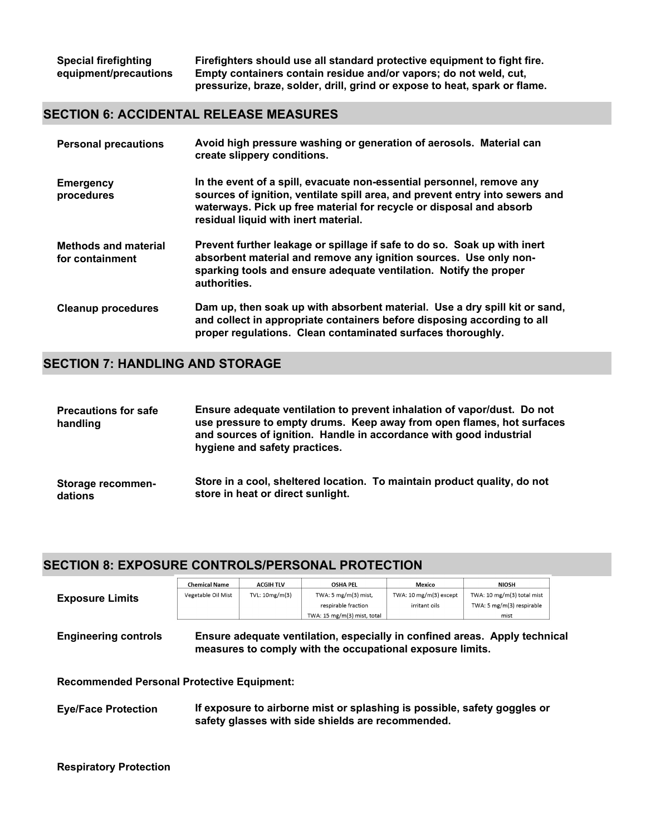**Firefighters should use all standard protective equipment to fight fire. Empty containers contain residue and/or vapors; do not weld, cut, pressurize, braze, solder, drill, grind or expose to heat, spark or flame.**

#### **SECTION 6: ACCIDENTAL RELEASE MEASURES**

| <b>Personal precautions</b>                    | Avoid high pressure washing or generation of aerosols. Material can<br>create slippery conditions.                                                                                                                                                                   |
|------------------------------------------------|----------------------------------------------------------------------------------------------------------------------------------------------------------------------------------------------------------------------------------------------------------------------|
| <b>Emergency</b><br>procedures                 | In the event of a spill, evacuate non-essential personnel, remove any<br>sources of ignition, ventilate spill area, and prevent entry into sewers and<br>waterways. Pick up free material for recycle or disposal and absorb<br>residual liquid with inert material. |
| <b>Methods and material</b><br>for containment | Prevent further leakage or spillage if safe to do so. Soak up with inert<br>absorbent material and remove any ignition sources. Use only non-<br>sparking tools and ensure adequate ventilation. Notify the proper<br>authorities.                                   |
| <b>Cleanup procedures</b>                      | Dam up, then soak up with absorbent material. Use a dry spill kit or sand,<br>and collect in appropriate containers before disposing according to all<br>proper regulations. Clean contaminated surfaces thoroughly.                                                 |

#### **SECTION 7: HANDLING AND STORAGE**

| <b>Precautions for safe</b><br>handling | Ensure adequate ventilation to prevent inhalation of vapor/dust. Do not<br>use pressure to empty drums. Keep away from open flames, hot surfaces<br>and sources of ignition. Handle in accordance with good industrial<br>hygiene and safety practices. |
|-----------------------------------------|---------------------------------------------------------------------------------------------------------------------------------------------------------------------------------------------------------------------------------------------------------|
| Storage recommen-                       | Store in a cool, sheltered location. To maintain product quality, do not                                                                                                                                                                                |
| dations                                 | store in heat or direct sunlight.                                                                                                                                                                                                                       |

#### **SECTION 8: EXPOSURE CONTROLS/PERSONAL PROTECTION**

| TWA: 5 $mg/m(3)$ mist,<br>TWA: 10 mg/m(3) except<br>TWA: 10 mg/m(3) total mist<br>Vegetable Oil Mist<br>TVL: 10mg/m(3)<br><b>Exposure Limits</b><br>TWA: 5 mg/m(3) respirable<br>respirable fraction<br>irritant oils<br>TWA: 15 mg/m(3) mist, total<br>mist<br><b>Engineering controls</b><br>Ensure adequate ventilation, especially in confined areas. Apply technical<br>measures to comply with the occupational exposure limits.<br><b>Recommended Personal Protective Equipment:</b><br>If exposure to airborne mist or splashing is possible, safety goggles or<br><b>Eye/Face Protection</b><br>safety glasses with side shields are recommended. |  | <b>Chemical Name</b> | <b>ACGIH TLV</b> | <b>OSHA PEL</b> | Mexico | <b>NIOSH</b> |
|------------------------------------------------------------------------------------------------------------------------------------------------------------------------------------------------------------------------------------------------------------------------------------------------------------------------------------------------------------------------------------------------------------------------------------------------------------------------------------------------------------------------------------------------------------------------------------------------------------------------------------------------------------|--|----------------------|------------------|-----------------|--------|--------------|
|                                                                                                                                                                                                                                                                                                                                                                                                                                                                                                                                                                                                                                                            |  |                      |                  |                 |        |              |
|                                                                                                                                                                                                                                                                                                                                                                                                                                                                                                                                                                                                                                                            |  |                      |                  |                 |        |              |
|                                                                                                                                                                                                                                                                                                                                                                                                                                                                                                                                                                                                                                                            |  |                      |                  |                 |        |              |
|                                                                                                                                                                                                                                                                                                                                                                                                                                                                                                                                                                                                                                                            |  |                      |                  |                 |        |              |
|                                                                                                                                                                                                                                                                                                                                                                                                                                                                                                                                                                                                                                                            |  |                      |                  |                 |        |              |
|                                                                                                                                                                                                                                                                                                                                                                                                                                                                                                                                                                                                                                                            |  |                      |                  |                 |        |              |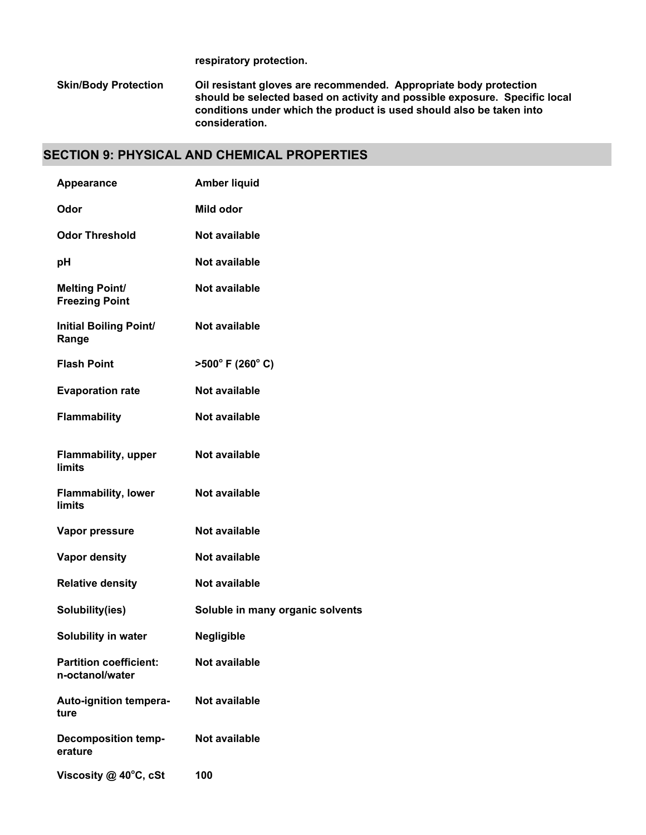**respiratory protection.**

**Oil resistant gloves are recommended. Appropriate body protection should be selected based on activity and possible exposure. Specific local conditions under which the product is used should also be taken into consideration. Skin/Body Protection**

#### **SECTION 9: PHYSICAL AND CHEMICAL PROPERTIES**

| <b>Appearance</b>                                | <b>Amber liquid</b>                 |
|--------------------------------------------------|-------------------------------------|
| Odor                                             | Mild odor                           |
| <b>Odor Threshold</b>                            | Not available                       |
| рH                                               | Not available                       |
| <b>Melting Point/</b><br><b>Freezing Point</b>   | Not available                       |
| <b>Initial Boiling Point/</b><br>Range           | Not available                       |
| <b>Flash Point</b>                               | $>500^{\circ}$ F (260 $^{\circ}$ C) |
| <b>Evaporation rate</b>                          | Not available                       |
| <b>Flammability</b>                              | Not available                       |
| <b>Flammability, upper</b><br><b>limits</b>      | <b>Not available</b>                |
| <b>Flammability, lower</b><br><b>limits</b>      | <b>Not available</b>                |
| Vapor pressure                                   | <b>Not available</b>                |
| <b>Vapor density</b>                             | Not available                       |
| <b>Relative density</b>                          | Not available                       |
| Solubility(ies)                                  | Soluble in many organic solvents    |
| Solubility in water                              | <b>Negligible</b>                   |
| <b>Partition coefficient:</b><br>n-octanol/water | Not available                       |
| Auto-ignition tempera-<br>ture                   | Not available                       |
| <b>Decomposition temp-</b><br>erature            | Not available                       |
| Viscosity $@$ 40 $°C$ , cSt                      | 100                                 |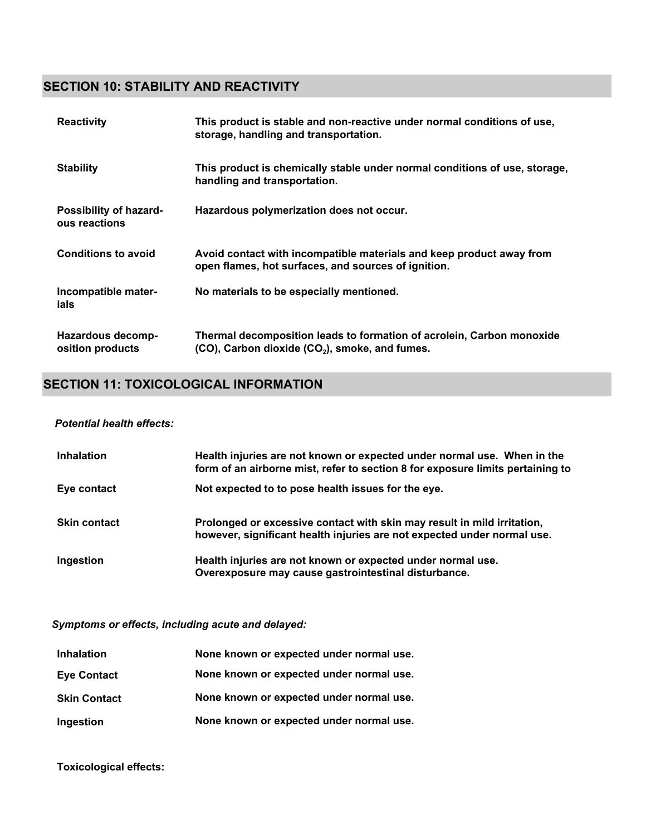### **SECTION 10: STABILITY AND REACTIVITY**

| <b>Reactivity</b>                            | This product is stable and non-reactive under normal conditions of use,<br>storage, handling and transportation.                    |
|----------------------------------------------|-------------------------------------------------------------------------------------------------------------------------------------|
| <b>Stability</b>                             | This product is chemically stable under normal conditions of use, storage,<br>handling and transportation.                          |
| Possibility of hazard-<br>ous reactions      | Hazardous polymerization does not occur.                                                                                            |
| <b>Conditions to avoid</b>                   | Avoid contact with incompatible materials and keep product away from<br>open flames, hot surfaces, and sources of ignition.         |
| Incompatible mater-<br>ials                  | No materials to be especially mentioned.                                                                                            |
| <b>Hazardous decomp-</b><br>osition products | Thermal decomposition leads to formation of acrolein, Carbon monoxide<br>(CO), Carbon dioxide (CO <sub>2</sub> ), smoke, and fumes. |

#### **SECTION 11: TOXICOLOGICAL INFORMATION**

#### *Potential health effects:*

| <b>Inhalation</b>   | Health injuries are not known or expected under normal use. When in the<br>form of an airborne mist, refer to section 8 for exposure limits pertaining to |
|---------------------|-----------------------------------------------------------------------------------------------------------------------------------------------------------|
| Eye contact         | Not expected to to pose health issues for the eye.                                                                                                        |
| <b>Skin contact</b> | Prolonged or excessive contact with skin may result in mild irritation,<br>however, significant health injuries are not expected under normal use.        |
| Ingestion           | Health injuries are not known or expected under normal use.<br>Overexposure may cause gastrointestinal disturbance.                                       |

*Symptoms or effects, including acute and delayed:*

| <b>Inhalation</b>   | None known or expected under normal use. |
|---------------------|------------------------------------------|
| <b>Eye Contact</b>  | None known or expected under normal use. |
| <b>Skin Contact</b> | None known or expected under normal use. |
| Ingestion           | None known or expected under normal use. |

**Toxicological effects:**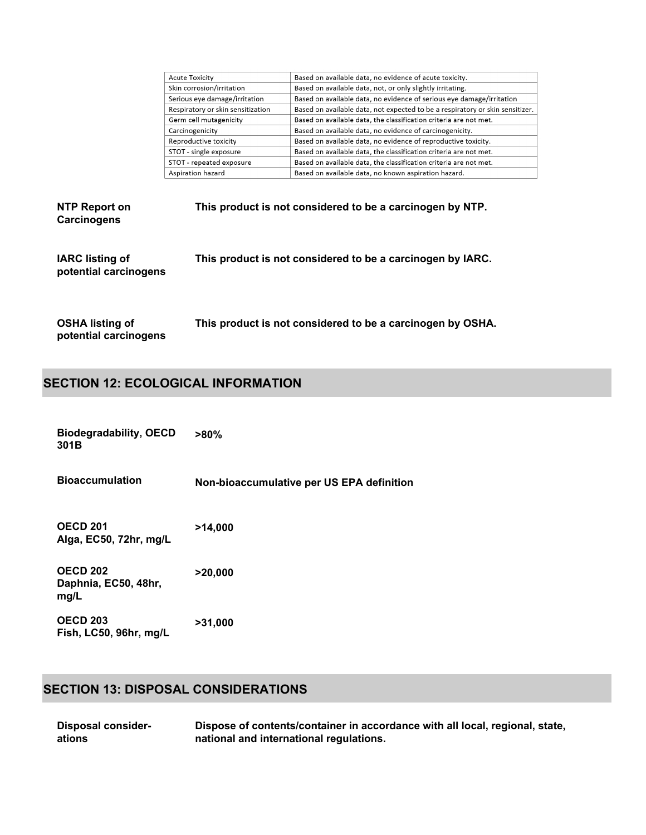| <b>Acute Toxicity</b>             | Based on available data, no evidence of acute toxicity.                       |
|-----------------------------------|-------------------------------------------------------------------------------|
| Skin corrosion/irritation         | Based on available data, not, or only slightly irritating.                    |
| Serious eye damage/irritation     | Based on available data, no evidence of serious eye damage/irritation         |
| Respiratory or skin sensitization | Based on available data, not expected to be a respiratory or skin sensitizer. |
| Germ cell mutagenicity            | Based on available data, the classification criteria are not met.             |
| Carcinogenicity                   | Based on available data, no evidence of carcinogenicity.                      |
| Reproductive toxicity             | Based on available data, no evidence of reproductive toxicity.                |
| STOT - single exposure            | Based on available data, the classification criteria are not met.             |
| STOT - repeated exposure          | Based on available data, the classification criteria are not met.             |
| Aspiration hazard                 | Based on available data, no known aspiration hazard.                          |

| NTP Report on<br><b>Carcinogens</b>             | This product is not considered to be a carcinogen by NTP.  |
|-------------------------------------------------|------------------------------------------------------------|
| <b>IARC</b> listing of<br>potential carcinogens | This product is not considered to be a carcinogen by IARC. |

**OSHA listing of potential carcinogens This product is not considered to be a carcinogen by OSHA.**

## **SECTION 12: ECOLOGICAL INFORMATION**

| <b>Biodegradability, OECD</b><br>301B           | $>80\%$                                   |
|-------------------------------------------------|-------------------------------------------|
| <b>Bioaccumulation</b>                          | Non-bioaccumulative per US EPA definition |
| <b>OECD 201</b><br>Alga, EC50, 72hr, mg/L       | >14,000                                   |
| <b>OECD 202</b><br>Daphnia, EC50, 48hr,<br>mg/L | >20,000                                   |
| <b>OECD 203</b><br>Fish, LC50, 96hr, mg/L       | >31,000                                   |

## **SECTION 13: DISPOSAL CONSIDERATIONS**

| <b>Disposal consider-</b> | Dispose of contents/container in accordance with all local, regional, state, |
|---------------------------|------------------------------------------------------------------------------|
| ations                    | national and international regulations.                                      |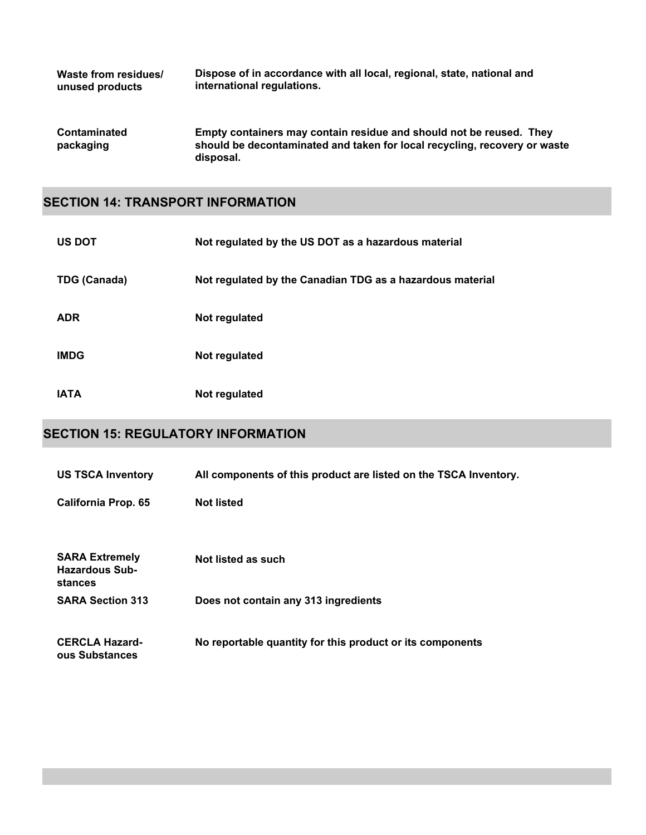| Waste from residues/             | Dispose of in accordance with all local, regional, state, national and                                                                                        |
|----------------------------------|---------------------------------------------------------------------------------------------------------------------------------------------------------------|
| unused products                  | international regulations.                                                                                                                                    |
| <b>Contaminated</b><br>packaging | Empty containers may contain residue and should not be reused. They<br>should be decontaminated and taken for local recycling, recovery or waste<br>disposal. |

#### **SECTION 14: TRANSPORT INFORMATION**

| <b>US DOT</b>       | Not regulated by the US DOT as a hazardous material       |
|---------------------|-----------------------------------------------------------|
| <b>TDG (Canada)</b> | Not regulated by the Canadian TDG as a hazardous material |
| <b>ADR</b>          | Not regulated                                             |
| <b>IMDG</b>         | Not regulated                                             |
| <b>IATA</b>         | Not regulated                                             |

## **SECTION 15: REGULATORY INFORMATION**

| <b>US TSCA Inventory</b>                                  | All components of this product are listed on the TSCA Inventory. |
|-----------------------------------------------------------|------------------------------------------------------------------|
| <b>California Prop. 65</b>                                | <b>Not listed</b>                                                |
| <b>SARA Extremely</b><br><b>Hazardous Sub-</b><br>stances | Not listed as such                                               |
| <b>SARA Section 313</b>                                   | Does not contain any 313 ingredients                             |
| <b>CERCLA Hazard-</b><br>ous Substances                   | No reportable quantity for this product or its components        |